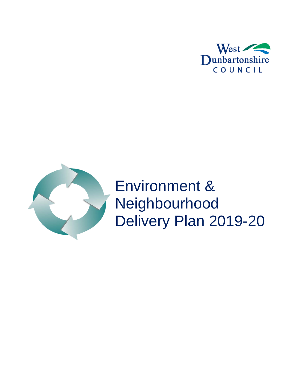



Environment & Neighbourhood Delivery Plan 2019-20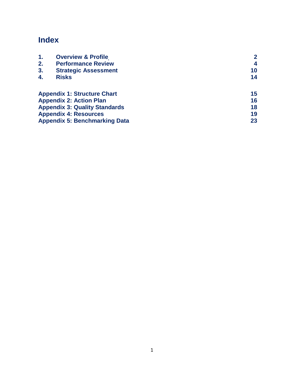# **Index**

| 1.                                   | <b>Overview &amp; Profile</b>        |    |
|--------------------------------------|--------------------------------------|----|
| 2.                                   | <b>Performance Review</b>            | 4  |
| 3.                                   | <b>Strategic Assessment</b>          | 10 |
| 4.                                   | <b>Risks</b>                         | 14 |
|                                      | <b>Appendix 1: Structure Chart</b>   | 15 |
|                                      | <b>Appendix 2: Action Plan</b>       | 16 |
|                                      | <b>Appendix 3: Quality Standards</b> | 18 |
|                                      | <b>Appendix 4: Resources</b>         | 19 |
| <b>Appendix 5: Benchmarking Data</b> | 23                                   |    |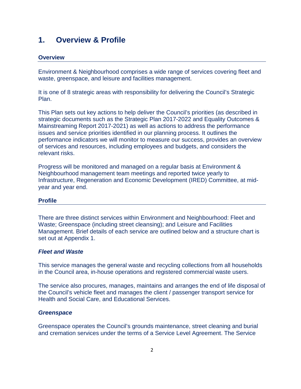### **1. Overview & Profile**

#### **Overview**

Environment & Neighbourhood comprises a wide range of services covering fleet and waste, greenspace, and leisure and facilities management.

It is one of 8 strategic areas with responsibility for delivering the Council's Strategic Plan.

This Plan sets out key actions to help deliver the Council's priorities (as described in strategic documents such as the Strategic Plan 2017-2022 and Equality Outcomes & Mainstreaming Report 2017-2021) as well as actions to address the performance issues and service priorities identified in our planning process. It outlines the performance indicators we will monitor to measure our success, provides an overview of services and resources, including employees and budgets, and considers the relevant risks.

Progress will be monitored and managed on a regular basis at Environment & Neighbourhood management team meetings and reported twice yearly to Infrastructure, Regeneration and Economic Development (IRED) Committee, at midyear and year end.

#### **Profile**

There are three distinct services within Environment and Neighbourhood: Fleet and Waste; Greenspace (including street cleansing); and Leisure and Facilities Management. Brief details of each service are outlined below and a structure chart is set out at Appendix 1.

#### *Fleet and Waste*

This service manages the general waste and recycling collections from all households in the Council area, in-house operations and registered commercial waste users.

The service also procures, manages, maintains and arranges the end of life disposal of the Council's vehicle fleet and manages the client / passenger transport service for Health and Social Care, and Educational Services.

#### *Greenspace*

Greenspace operates the Council's grounds maintenance, street cleaning and burial and cremation services under the terms of a Service Level Agreement. The Service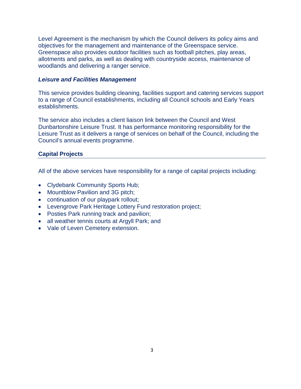Level Agreement is the mechanism by which the Council delivers its policy aims and objectives for the management and maintenance of the Greenspace service. Greenspace also provides outdoor facilities such as football pitches, play areas, allotments and parks, as well as dealing with countryside access, maintenance of woodlands and delivering a ranger service.

#### *Leisure and Facilities Management*

This service provides building cleaning, facilities support and catering services support to a range of Council establishments, including all Council schools and Early Years establishments.

The service also includes a client liaison link between the Council and West Dunbartonshire Leisure Trust. It has performance monitoring responsibility for the Leisure Trust as it delivers a range of services on behalf of the Council, including the Council's annual events programme.

#### **Capital Projects**

All of the above services have responsibility for a range of capital projects including:

- Clydebank Community Sports Hub;
- Mountblow Pavilion and 3G pitch;
- continuation of our playpark rollout;
- Levengrove Park Heritage Lottery Fund restoration project;
- Posties Park running track and pavilion;
- all weather tennis courts at Argyll Park; and
- Vale of Leven Cemetery extension.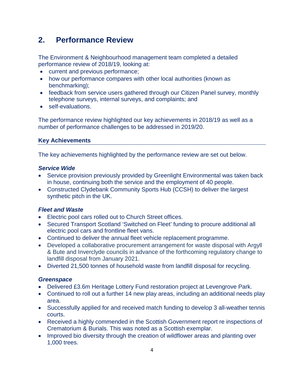## **2. Performance Review**

The Environment & Neighbourhood management team completed a detailed performance review of 2018/19, looking at:

- current and previous performance;
- how our performance compares with other local authorities (known as benchmarking);
- feedback from service users gathered through our Citizen Panel survey, monthly telephone surveys, internal surveys, and complaints; and
- self-evaluations.

The performance review highlighted our key achievements in 2018/19 as well as a number of performance challenges to be addressed in 2019/20.

#### **Key Achievements**

The key achievements highlighted by the performance review are set out below.

#### *Service Wide*

- Service provision previously provided by Greenlight Environmental was taken back in house, continuing both the service and the employment of 40 people.
- Constructed Clydebank Community Sports Hub (CCSH) to deliver the largest synthetic pitch in the UK.

#### *Fleet and Waste*

- Electric pool cars rolled out to Church Street offices.
- Secured Transport Scotland 'Switched on Fleet' funding to procure additional all electric pool cars and frontline fleet vans.
- Continued to deliver the annual fleet vehicle replacement programme.
- Developed a collaborative procurement arrangement for waste disposal with Argyll & Bute and Inverclyde councils in advance of the forthcoming regulatory change to landfill disposal from January 2021.
- Diverted 21,500 tonnes of household waste from landfill disposal for recycling.

#### *Greenspace*

- Delivered £3.6m Heritage Lottery Fund restoration project at Levengrove Park.
- Continued to roll out a further 14 new play areas, including an additional needs play area.
- Successfully applied for and received match funding to develop 3 all-weather tennis courts.
- Received a highly commended in the Scottish Government report re inspections of Crematorium & Burials. This was noted as a Scottish exemplar.
- Improved bio diversity through the creation of wildflower areas and planting over 1,000 trees.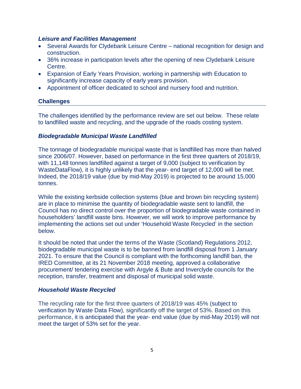#### *Leisure and Facilities Management*

- Several Awards for Clydebank Leisure Centre national recognition for design and construction.
- 36% increase in participation levels after the opening of new Clydebank Leisure Centre.
- Expansion of Early Years Provision, working in partnership with Education to significantly increase capacity of early years provision.
- Appointment of officer dedicated to school and nursery food and nutrition.

#### **Challenges**

The challenges identified by the performance review are set out below. These relate to landfilled waste and recycling, and the upgrade of the roads costing system.

#### *Biodegradable Municipal Waste Landfilled*

The tonnage of biodegradable municipal waste that is landfilled has more than halved since 2006/07. However, based on performance in the first three quarters of 2018/19, with 11,148 tonnes landfilled against a target of 9,000 (subject to verification by WasteDataFlow), it is highly unlikely that the year- end target of 12,000 will be met. Indeed, the 2018/19 value (due by mid-May 2019) is projected to be around 15,000 tonnes.

While the existing kerbside collection systems (blue and brown bin recycling system) are in place to minimise the quantity of biodegradable waste sent to landfill, the Council has no direct control over the proportion of biodegradable waste contained in householders' landfill waste bins. However, we will work to improve performance by implementing the actions set out under 'Household Waste Recycled' in the section below.

It should be noted that under the terms of the Waste (Scotland) Regulations 2012, biodegradable municipal waste is to be banned from landfill disposal from 1 January 2021. To ensure that the Council is compliant with the forthcoming landfill ban, the IRED Committee, at its 21 November 2018 meeting, approved a collaborative procurement/ tendering exercise with Argyle & Bute and Inverclyde councils for the reception, transfer, treatment and disposal of municipal solid waste.

#### *Household Waste Recycled*

The recycling rate for the first three quarters of 2018/19 was 45% (subject to verification by Waste Data Flow), significantly off the target of 53%. Based on this performance, it is anticipated that the year- end value (due by mid-May 2019) will not meet the target of 53% set for the year.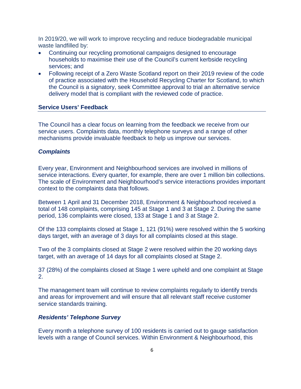In 2019/20, we will work to improve recycling and reduce biodegradable municipal waste landfilled by:

- Continuing our recycling promotional campaigns designed to encourage households to maximise their use of the Council's current kerbside recycling services; and
- Following receipt of a Zero Waste Scotland report on their 2019 review of the code of practice associated with the Household Recycling Charter for Scotland, to which the Council is a signatory, seek Committee approval to trial an alternative service delivery model that is compliant with the reviewed code of practice.

#### **Service Users' Feedback**

The Council has a clear focus on learning from the feedback we receive from our service users. Complaints data, monthly telephone surveys and a range of other mechanisms provide invaluable feedback to help us improve our services.

#### *Complaints*

Every year, Environment and Neighbourhood services are involved in millions of service interactions. Every quarter, for example, there are over 1 million bin collections. The scale of Environment and Neighbourhood's service interactions provides important context to the complaints data that follows.

Between 1 April and 31 December 2018, Environment & Neighbourhood received a total of 148 complaints, comprising 145 at Stage 1 and 3 at Stage 2. During the same period, 136 complaints were closed, 133 at Stage 1 and 3 at Stage 2.

Of the 133 complaints closed at Stage 1, 121 (91%) were resolved within the 5 working days target, with an average of 3 days for all complaints closed at this stage.

Two of the 3 complaints closed at Stage 2 were resolved within the 20 working days target, with an average of 14 days for all complaints closed at Stage 2.

37 (28%) of the complaints closed at Stage 1 were upheld and one complaint at Stage 2.

The management team will continue to review complaints regularly to identify trends and areas for improvement and will ensure that all relevant staff receive customer service standards training.

#### *Residents' Telephone Survey*

Every month a telephone survey of 100 residents is carried out to gauge satisfaction levels with a range of Council services. Within Environment & Neighbourhood, this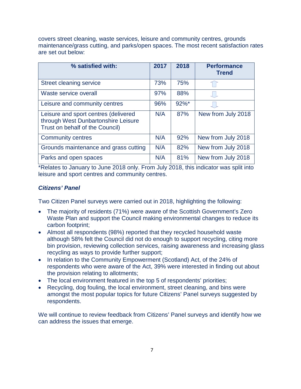covers street cleaning, waste services, leisure and community centres, grounds maintenance/grass cutting, and parks/open spaces. The most recent satisfaction rates are set out below:

| % satisfied with:                                                                                              | 2017 | 2018     | <b>Performance</b><br><b>Trend</b> |
|----------------------------------------------------------------------------------------------------------------|------|----------|------------------------------------|
| Street cleaning service                                                                                        | 73%  | 75%      |                                    |
| Waste service overall                                                                                          | 97%  | 88%      |                                    |
| Leisure and community centres                                                                                  | 96%  | $92\%$ * |                                    |
| Leisure and sport centres (delivered<br>through West Dunbartonshire Leisure<br>Trust on behalf of the Council) | N/A  | 87%      | New from July 2018                 |
| <b>Community centres</b>                                                                                       | N/A  | 92%      | New from July 2018                 |
| Grounds maintenance and grass cutting                                                                          | N/A  | 82%      | New from July 2018                 |
| Parks and open spaces                                                                                          | N/A  | 81%      | New from July 2018                 |

\*Relates to January to June 2018 only. From July 2018, this indicator was split into leisure and sport centres and community centres.

#### *Citizens' Panel*

Two Citizen Panel surveys were carried out in 2018, highlighting the following:

- The majority of residents (71%) were aware of the Scottish Government's Zero Waste Plan and support the Council making environmental changes to reduce its carbon footprint;
- Almost all respondents (98%) reported that they recycled household waste although 58% felt the Council did not do enough to support recycling, citing more bin provision, reviewing collection services, raising awareness and increasing glass recycling as ways to provide further support;
- In relation to the Community Empowerment (Scotland) Act, of the 24% of respondents who were aware of the Act, 39% were interested in finding out about the provision relating to allotments;
- The local environment featured in the top 5 of respondents' priorities;
- Recycling, dog fouling, the local environment, street cleaning, and bins were amongst the most popular topics for future Citizens' Panel surveys suggested by respondents.

We will continue to review feedback from Citizens' Panel surveys and identify how we can address the issues that emerge.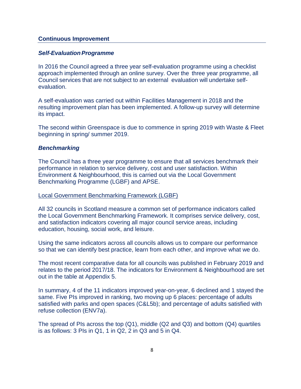#### **Continuous Improvement**

#### **Self-Evaluation Programme**

In 2016 the Council agreed a three year self-evaluation programme using a checklist approach implemented through an online survey. Over the three year programme, all Council services that are not subject to an external evaluation will undertake selfevaluation.

A self-evaluation was carried out within Facilities Management in 2018 and the resulting improvement plan has been implemented. A follow-up survey will determine its impact.

<span id="page-8-0"></span>The second within Greenspace is due to commence in spring 2019 with Waste & Fleet beginning in spring/ summer 2019.

#### *Benchmarking*

The Council has a three year programme to ensure that all services benchmark their performance in relation to service delivery, cost and user satisfaction. Within Environment & Neighbourhood, this is carried out via the Local Government Benchmarking Programme (LGBF) and APSE.

#### Local Government Benchmarking Framework (LGBF)

All 32 councils in Scotland measure a common set of performance indicators called the Local Government Benchmarking Framework. It comprises service delivery, cost, and satisfaction indicators covering all major council service areas, including education, housing, social work, and leisure.

Using the same indicators across all councils allows us to compare our performance so that we can identify best practice, learn from each other, and improve what we do.

The most recent comparative data for all councils was published in February 2019 and relates to the period 2017/18. The indicators for Environment & Neighbourhood are set out in the table at Appendix 5.

In summary, 4 of the 11 indicators improved year-on-year, 6 declined and 1 stayed the same. Five PIs improved in ranking, two moving up 6 places: percentage of adults satisfied with parks and open spaces (C&L5b); and percentage of adults satisfied with refuse collection (ENV7a).

The spread of PIs across the top (Q1), middle (Q2 and Q3) and bottom (Q4) quartiles is as follows: 3 PIs in Q1, 1 in Q2, 2 in Q3 and 5 in Q4.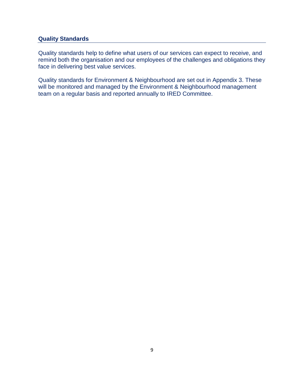#### **Quality Standards**

Quality standards help to define what users of our services can expect to receive, and remind both the organisation and our employees of the challenges and obligations they face in delivering best value services.

Quality standards for Environment & Neighbourhood are set out in Appendix 3. These will be monitored and managed by the Environment & Neighbourhood management team on a regular basis and reported annually to IRED Committee.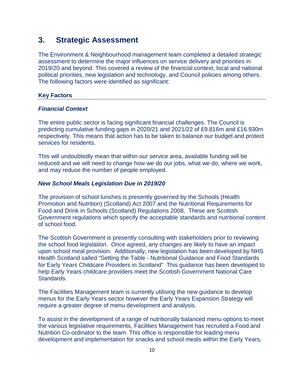### **3. Strategic Assessment**

The Environment & Neighbourhood management team completed a detailed strategic assessment to determine the major influences on service delivery and priorities in 2019/20 and beyond. This covered a review of the financial context, local and national political priorities, new legislation and technology, and Council policies among others. The following factors were identified as significant:

#### **Key Factors**

#### *Financial Context*

The entire public sector is facing significant financial challenges. The Council is predicting cumulative funding gaps in 2020/21 and 2021/22 of £9.816m and £16.930m respectively. This means that action has to be taken to balance our budget and protect services for residents.

This will undoubtedly mean that within our service area, available funding will be reduced and we will need to change how we do our jobs, what we do, where we work, and may reduce the number of people employed.

#### *New School Meals Legislation Due in 2019/20*

The provision of school lunches is presently governed by the [Schools \(Health](http://www.scotland.gov.uk/Topics/Education/Schools/HLivi/foodnutrition)  Promotion and [Nutrition\) \(Scotland\) Act 2007](http://www.scotland.gov.uk/Topics/Education/Schools/HLivi/foodnutrition) and the [Nutritional Requirements for](http://www.gov.scot/Publications/2008/09/12090355/0)  [Food and Drink in Schools \(Scotland\) Regulations 2008.](http://www.gov.scot/Publications/2008/09/12090355/0) These are Scottish Government regulations which specify the acceptable standards and nutritional content of school food.

The Scottish Government is presently consulting with stakeholders prior to reviewing the school food legislation. Once agreed, any changes are likely to have an impact upon school meal provision. Additionally, new legislation has been developed by NHS Health Scotland called "Setting the Table - Nutritional Guidance and Food Standards for Early Years Childcare Providers in Scotland" This guidance has been developed to help Early Years childcare providers meet the Scottish Government National Care Standards.

The Facilities Management team is currently utilising the new guidance to develop menus for the Early Years sector however the Early Years Expansion Strategy will require a greater degree of menu development and analysis.

To assist in the development of a range of nutritionally balanced menu options to meet the various legislative requirements, Facilities Management has recruited a Food and Nutrition Co-ordinator to the team. This office is responsible for leading menu development and implementation for snacks and school meals within the Early Years,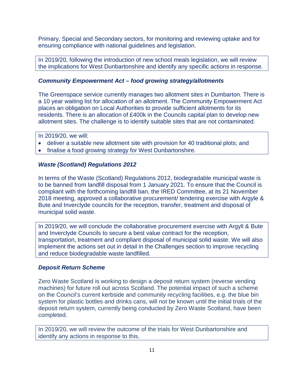Primary, Special and Secondary sectors, for monitoring and reviewing uptake and for ensuring compliance with national guidelines and legislation.

In 2019/20, following the introduction of new school meals legislation, we will review the implications for West Dunbartonshire and identify any specific actions in response.

#### *Community Empowerment Act – food growing strategy/allotments*

The Greenspace service currently manages two allotment sites in Dumbarton. There is a 10 year waiting list for allocation of an allotment. The Community Empowerment Act places an obligation on Local Authorities to provide sufficient allotments for its residents. There is an allocation of £400k in the Councils capital plan to develop new allotment sites. The challenge is to identify suitable sites that are not contaminated.

In 2019/20, we will:

- deliver a suitable new allotment site with provision for 40 traditional plots; and
- finalise a food growing strategy for West Dunbartonshire.

#### *Waste (Scotland) Regulations 2012*

In terms of the Waste (Scotland) Regulations 2012, biodegradable municipal waste is to be banned from landfill disposal from 1 January 2021. To ensure that the Council is compliant with the forthcoming landfill ban, the IRED Committee, at its 21 November 2018 meeting, approved a collaborative procurement/ tendering exercise with Argyle & Bute and Inverclyde councils for the reception, transfer, treatment and disposal of municipal solid waste.

In 2019/20, we will conclude the collaborative procurement exercise with Argyll & Bute and Inverclyde Councils to secure a best value contract for the reception, transportation, treatment and compliant disposal of municipal solid waste. We will also implement the actions set out in detail in the Challenges section to improve recycling and reduce biodegradable waste landfilled.

#### *Deposit Return Scheme*

Zero Waste Scotland is working to design a deposit return system (reverse vending machines) for future roll out across Scotland. The potential impact of such a scheme on the Council's current kerbside and community recycling facilities, e.g. the blue bin system for plastic bottles and drinks cans, will not be known until the initial trials of the deposit return system, currently being conducted by Zero Waste Scotland, have been completed.

In 2019/20, we will review the outcome of the trials for West Dunbartonshire and identify any actions in response to this.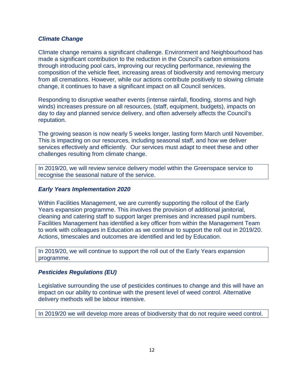#### *Climate Change*

Climate change remains a significant challenge. Environment and Neighbourhood has made a significant contribution to the reduction in the Council's carbon emissions through introducing pool cars, improving our recycling performance, reviewing the composition of the vehicle fleet, increasing areas of biodiversity and removing mercury from all cremations. However, while our actions contribute positively to slowing climate change, it continues to have a significant impact on all Council services.

Responding to disruptive weather events (intense rainfall, flooding, storms and high winds) increases pressure on all resources, (staff, equipment, budgets), impacts on day to day and planned service delivery, and often adversely affects the Council's reputation.

The growing season is now nearly 5 weeks longer, lasting form March until November. This is impacting on our resources, including seasonal staff, and how we deliver services effectively and efficiently. Our services must adapt to meet these and other challenges resulting from climate change.

In 2019/20, we will review service delivery model within the Greenspace service to recognise the seasonal nature of the service.

#### *Early Years Implementation 2020*

Within Facilities Management, we are currently supporting the rollout of the Early Years expansion programme. This involves the provision of additional janitorial, cleaning and catering staff to support larger premises and increased pupil numbers. Facilities Management has identified a key officer from within the Management Team to work with colleagues in Education as we continue to support the roll out in 2019/20. Actions, timescales and outcomes are identified and led by Education.

In 2019/20, we will continue to support the roll out of the Early Years expansion programme.

#### *Pesticides Regulations (EU)*

Legislative surrounding the use of pesticides continues to change and this will have an impact on our ability to continue with the present level of weed control. Alternative delivery methods will be labour intensive.

In 2019/20 we will develop more areas of biodiversity that do not require weed control.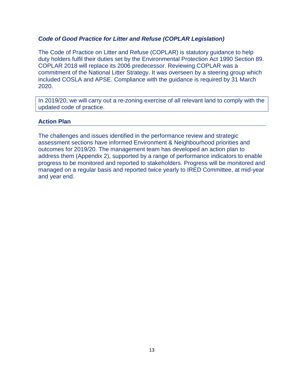#### *Code of Good Practice for Litter and Refuse (COPLAR Legislation)*

The Code of Practice on Litter and Refuse (COPLAR) is statutory guidance to help duty holders fulfil their duties set by the Environmental Protection Act 1990 Section 89. COPLAR 2018 will replace its 2006 predecessor. Reviewing COPLAR was a commitment of the National Litter Strategy. It was overseen by a steering group which included COSLA and APSE. Compliance with the guidance is required by 31 March 2020.

In 2019/20, we will carry out a re-zoning exercise of all relevant land to comply with the updated code of practice.

#### **Action Plan**

<span id="page-13-0"></span>The challenges and issues identified in the performance review and strategic assessment sections have informed Environment & Neighbourhood priorities and outcomes for 2019/20. The management team has developed an action plan to address them (Appendix 2), supported by a range of performance indicators to enable progress to be monitored and reported to stakeholders. Progress will be monitored and managed on a regular basis and reported twice yearly to IRED Committee, at mid-year and year end.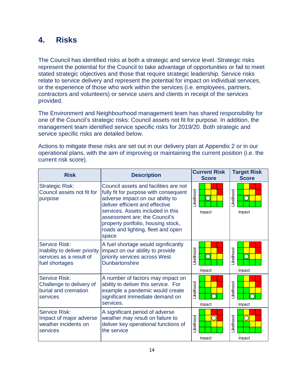## **4. Risks**

The Council has identified risks at both a strategic and service level. Strategic risks represent the potential for the Council to take advantage of opportunities or fail to meet stated strategic objectives and those that require strategic leadership. Service risks relate to service delivery and represent the potential for impact on individual services, or the experience of those who work within the services (i.e. employees, partners, contractors and volunteers) or service users and clients in receipt of the services provided.

The Environment and Neighbourhood management team has shared responsibility for one of the Council's strategic risks: Council assets not fit for purpose. In addition, the management team identified service specific risks for 2019/20. Both strategic and service specific risks are detailed below.

Actions to mitigate these risks are set out in our delivery plan at Appendix 2 or in our operational plans, with the aim of improving or maintaining the current position (i.e. the current risk score).

<span id="page-14-0"></span>

| <b>Risk</b>                                                                                 | <b>Description</b>                                                                                                                                                                                                                                                                                               | <b>Current Risk</b><br><b>Score</b> | <b>Target Risk</b><br><b>Score</b> |
|---------------------------------------------------------------------------------------------|------------------------------------------------------------------------------------------------------------------------------------------------------------------------------------------------------------------------------------------------------------------------------------------------------------------|-------------------------------------|------------------------------------|
| <b>Strategic Risk:</b><br>Council assets not fit for<br>purpose                             | Council assets and facilities are not<br>fully fit for purpose with consequent<br>adverse impact on our ability to<br>deliver efficient and effective<br>services. Assets included in this<br>assessment are; the Council's<br>property portfolio, housing stock,<br>roads and lighting, fleet and open<br>space | <b>ikelihood</b><br>∩<br>Impact     | <b>kellhood</b><br>n<br>Impact     |
| Service Risk:<br>Inability to deliver priority<br>services as a result of<br>fuel shortages | A fuel shortage would significantly<br>impact on our ability to provide<br>priority services across West<br><b>Dunbartonshire</b>                                                                                                                                                                                | .ikelihood<br>Impact                | <b>kellhood</b><br>Impact          |
| <b>Service Risk:</b><br>Challenge to delivery of<br>burial and cremation<br>services        | A number of factors may impact on<br>ability to deliver this service. For<br>example a pandemic would create<br>significant immediate demand on<br>services.                                                                                                                                                     | <b>ikelihood</b><br>Impact          | <b>ikelihood</b><br>Impact         |
| Service Risk:<br>Impact of major adverse<br>weather incidents on<br>services                | A significant period of adverse<br>weather may result on failure to<br>deliver key operational functions of<br>the service                                                                                                                                                                                       | <b>ikelihood</b><br>Impact          | <b>kellhood</b><br>Impact          |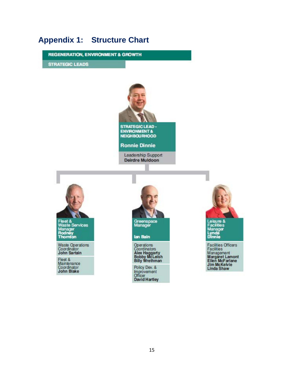## **Appendix 1: Structure Chart**

**REGENERATION, ENVIRONMENT & GROWTH** 

**STRATEGIC LEADS** 



**STRATEGIC LEAD -**ENVIRONMENT&<br>NEIGHBOURHOOD

**Ronnie Dinnie** 

Leadership Support **Deirdre Muldoon** 



Fleet &<br>Waste Services<br>Manager<br>Rodney<br>Thornton

Waste Operations<br>Coordinator<br>John Sartain

Fleet &<br>Maintenance<br>Coordinator<br>John Blake



**Operations**<br>Coordinators<br>Alex Haggarty<br>Bobby McLeish<br>Billy Wrethman

Policy Dev. & Improvement Officer<br>David Hartley



Facilities Officers<br>Facilities<br>Management<br>Margaret Lamont<br>Ellen McFarlane<br>Jim McKelvie<br>Linda Shaw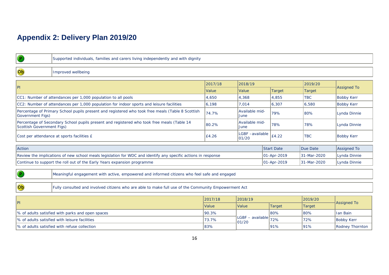# **Appendix 2: Delivery Plan 2019/20**

<span id="page-16-0"></span>

|                                                                                                            | Supported individuals, families and carers living independently and with dignity                              |         |                           |                   |               |                        |  |  |  |  |
|------------------------------------------------------------------------------------------------------------|---------------------------------------------------------------------------------------------------------------|---------|---------------------------|-------------------|---------------|------------------------|--|--|--|--|
| $ $ Ob                                                                                                     | Improved wellbeing                                                                                            |         |                           |                   |               |                        |  |  |  |  |
|                                                                                                            |                                                                                                               | 2017/18 | 2018/19                   |                   | 2019/20       |                        |  |  |  |  |
| PI                                                                                                         |                                                                                                               | Value   | Value                     | <b>Target</b>     | <b>Target</b> | <b>Assigned To</b>     |  |  |  |  |
|                                                                                                            | CC1: Number of attendances per 1,000 population to all pools                                                  | 4,650   | 4,368                     | 4,855             | <b>TBC</b>    | <b>Bobby Kerr</b>      |  |  |  |  |
|                                                                                                            | CC2: Number of attendances per 1,000 population for indoor sports and leisure facilities                      | 6,198   | 7.014                     | 6,307             | 6,580         | <b>Bobby Kerr</b>      |  |  |  |  |
| <b>Government Figs)</b>                                                                                    | Percentage of Primary School pupils present and registered who took free meals (Table 8 Scottish              | 74.7%   | Available mid-<br>June    | 79%               | 80%           | Lynda Dinnie           |  |  |  |  |
| Scottish Government Figs)                                                                                  | Percentage of Secondary School pupils present and registered who took free meals (Table 14                    | 80.2%   | Available mid-<br>June    | 78%               | 78%           | Lynda Dinnie           |  |  |  |  |
|                                                                                                            | Cost per attendance at sports facilities £                                                                    | £4.26   | LGBF -available<br>01/20  | £4.22             | <b>TBC</b>    | <b>Bobby Kerr</b>      |  |  |  |  |
| Action                                                                                                     |                                                                                                               |         |                           | <b>Start Date</b> | Due Date      | <b>Assigned To</b>     |  |  |  |  |
|                                                                                                            | Review the implications of new school meals legislation for WDC and identify any specific actions in response |         |                           | 01-Apr-2019       | 31-Mar-2020   | Lynda Dinnie           |  |  |  |  |
|                                                                                                            | Continue to support the roll out of the Early Years expansion programme                                       |         |                           | 01-Apr-2019       | 31-Mar-2020   | Lynda Dinnie           |  |  |  |  |
|                                                                                                            | Meaningful engagement with active, empowered and informed citizens who feel safe and engaged                  |         |                           |                   |               |                        |  |  |  |  |
| Ob<br>Fully consulted and involved citizens who are able to make full use of the Community Empowerment Act |                                                                                                               |         |                           |                   |               |                        |  |  |  |  |
|                                                                                                            |                                                                                                               | 2018/19 |                           | 2019/20           |               |                        |  |  |  |  |
| P                                                                                                          |                                                                                                               | Value   | Value                     | Target            | <b>Target</b> | <b>Assigned To</b>     |  |  |  |  |
|                                                                                                            | % of adults satisfied with parks and open spaces                                                              | 90.3%   |                           | 80%               | 80%           | <b>Ian Bain</b>        |  |  |  |  |
|                                                                                                            | 1% of adults satisfied with leisure facilities                                                                | 73.7%   | LGBF - available<br>01/20 | 72%               | 72%           | <b>Bobby Kerr</b>      |  |  |  |  |
|                                                                                                            | 1% of adults satisfied with refuse collection                                                                 | 83%     |                           | 91%               | 91%           | <b>Rodney Thornton</b> |  |  |  |  |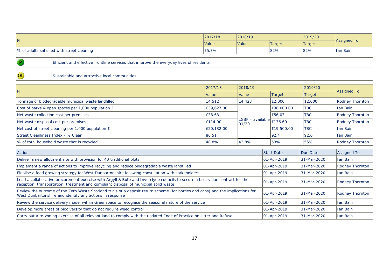|                                             | 2017/18             | 2018/19             |               | 2019/20 |             |  |
|---------------------------------------------|---------------------|---------------------|---------------|---------|-------------|--|
| lPI                                         | <i><b>Value</b></i> | <i><b>Value</b></i> | <b>Target</b> | Target  | Assigned To |  |
| 1% of adults satisfied with street cleaning | '75.3%              |                     | 82%           | 82%     | Ian Bain    |  |

Ob

Efficient and effective frontline services that improve the everyday lives of residents

Sustainable and attractive local communities

| P                                                   | 2017/18      | 2018/19                                                                                       |               | 2019/20    |                 |  |
|-----------------------------------------------------|--------------|-----------------------------------------------------------------------------------------------|---------------|------------|-----------------|--|
|                                                     | <b>Value</b> | <b>Value</b>                                                                                  | <b>Target</b> | Target     | Assigned To     |  |
| Tonnage of biodegradable municipal waste landfilled | 14,512       | 14,423                                                                                        | 12,000        | 12,000     | Rodney Thornton |  |
| Cost of parks & open spaces per 1,000 population £  | £39,627.00   |                                                                                               | E38,000.00    | <b>TBC</b> | Ian Bain        |  |
| Net waste collection cost per premises              | £38.63       |                                                                                               | E56.03        | <b>TBC</b> | Rodney Thornton |  |
| Net waste disposal cost per premises                | E114.90      | $\mathsf{ILGBF}$ – available $\left\lceil \frac{1}{\mathsf{E}} \right\rceil$ 136.60<br>101/20 |               | <b>TBC</b> | Rodney Thornton |  |
| Net cost of street cleaning per 1,000 population £  | £20,132.00   |                                                                                               | £19,500.00    | <b>TBC</b> | Ian Bain        |  |
| <b>Street Cleanliness Index - % Clean</b>           | 86.51        |                                                                                               | 192.4         | 92.6       | Ian Bain        |  |
| Ⅰ% of total household waste that is recycled        | 48.8%        | 43.8%                                                                                         | 53%           | 55%        | Rodney Thornton |  |

| Action                                                                                                                                                                                                               | <b>Start Date</b>   | Due Date     | Assigned To     |
|----------------------------------------------------------------------------------------------------------------------------------------------------------------------------------------------------------------------|---------------------|--------------|-----------------|
| Deliver a new allotment site with provision for 40 traditional plots                                                                                                                                                 | $ 01 - Apr - 2019 $ | 131-Mar-2020 | Han Bain        |
| Implement a range of actions to improve recycling and reduce biodegradable waste landfilled                                                                                                                          | $ 01 - Apr - 2019 $ | 131-Mar-2020 | Rodney Thornton |
| Finalise a food growing strategy for West Dunbartonshire following consultation with stakeholders                                                                                                                    | $ 01 - Apr - 2019 $ | 131-Mar-2020 | Han Bain        |
| Lead a collaborative procurement exercise with Argyll & Bute and Inverclyde councils to secure a best value contract for the<br>reception, transportation, treatment and compliant disposal of municipal solid waste | $ 01 - Apr - 2019 $ | 131-Mar-2020 | Rodney Thornton |
| Review the outcome of the Zero Waste Scotland trials of a deposit return scheme (for bottles and cans) and the implications for<br>West Dunbartonshire and identify any actions in response                          | $ 01 - Apr - 2019 $ | 131-Mar-2020 | Rodney Thornton |
| Review the service delivery model within Greenspace to recognise the seasonal nature of the service                                                                                                                  | $ 01 - Apr - 2019 $ | 31-Mar-2020  | Han Bain        |
| Develop more areas of biodiversity that do not require weed control                                                                                                                                                  | $ 01 - Apr - 2019 $ | 131-Mar-2020 | Han Bain        |
| Carry out a re-zoning exercise of all relevant land to comply with the updated Code of Practice on Litter and Refuse                                                                                                 | $ 01 - Apr - 2019 $ | 131-Mar-2020 | llan Bain       |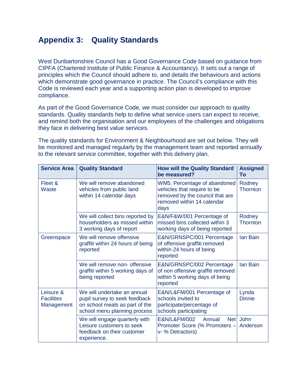# <span id="page-18-0"></span>**Appendix 3: Quality Standards**

West Dunbartonshire Council has a Good Governance Code based on guidance from CIPFA (Chartered Institute of Public Finance & Accountancy). It sets out a range of principles which the Council should adhere to, and details the behaviours and actions which demonstrate good governance in practice. The Council's compliance with this Code is reviewed each year and a supporting action plan is developed to improve compliance.

As part of the Good Governance Code, we must consider our approach to quality standards. Quality standards help to define what service users can expect to receive, and remind both the organisation and our employees of the challenges and obligations they face in delivering best value services.

The quality standards for Environment & Neighbourhood are set out below. They will be monitored and managed regularly by the management team and reported annually to the relevant service committee, together with this delivery plan.

<span id="page-18-1"></span>

| <b>Service Area</b>                          | <b>Quality Standard</b>                                                                                                        | <b>How will the Quality Standard</b><br>be measured?                                                                                 | <b>Assigned</b><br>To     |
|----------------------------------------------|--------------------------------------------------------------------------------------------------------------------------------|--------------------------------------------------------------------------------------------------------------------------------------|---------------------------|
| Fleet &<br>Waste                             | We will remove abandoned<br>vehicles from public land<br>within 14 calendar days                                               | WM5: Percentage of abandoned<br>vehicles that require to be<br>removed by the council that are<br>removed within 14 calendar<br>days | Rodney<br><b>Thornton</b> |
|                                              | We will collect bins reported by<br>householders as missed within<br>3 working days of report                                  | E&N/F&W/001 Percentage of<br>missed bins collected within 3<br>working days of being reported                                        | Rodney<br><b>Thornton</b> |
| Greenspace                                   | We will remove offensive<br>graffiti within 24 hours of being<br>reported                                                      | E&N/GRNSPC/001 Percentage<br>of offensive graffiti removed<br>within 24 hours of being<br>reported                                   | <b>lan Bain</b>           |
|                                              | We will remove non- offensive<br>graffiti within 5 working days of<br>being reported                                           | E&N/GRNSPC/002 Percentage<br>of non offensive graffiti removed<br>within 5 working days of being<br>reported                         | <b>lan Bain</b>           |
| Leisure &<br><b>Facilities</b><br>Management | We will undertake an annual<br>pupil survey to seek feedback<br>on school meals as part of the<br>school menu planning process | E&N/L&FM/001 Percentage of<br>schools invited to<br>participate/percentage of<br>schools participating                               | Lynda<br><b>Dinnie</b>    |
|                                              | We will engage quarterly with<br>Leisure customers to seek<br>feedback on their customer<br>experience.                        | E&N/L&FM/002<br><b>Net</b><br>Annual<br>Promoter Score (% Promoters -<br>v- % Detractors)                                            | <b>John</b><br>Anderson   |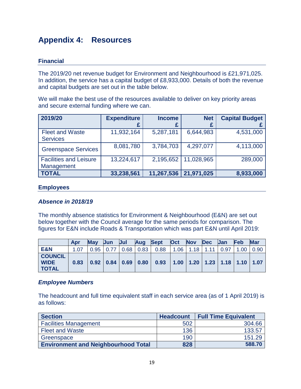# **Appendix 4: Resources**

### **Financial**

The 2019/20 net revenue budget for Environment and Neighbourhood is £21,971,025. In addition, the service has a capital budget of £8,933,000. Details of both the revenue and capital budgets are set out in the table below.

We will make the best use of the resources available to deliver on key priority areas and secure external funding where we can.

| 2019/20                                     | <b>Expenditure</b> | <b>Income</b> | <b>Net</b> | <b>Capital Budget</b> |
|---------------------------------------------|--------------------|---------------|------------|-----------------------|
|                                             |                    |               |            |                       |
| <b>Fleet and Waste</b><br><b>Services</b>   | 11,932,164         | 5,287,181     | 6,644,983  | 4,531,000             |
| <b>Greenspace Services</b>                  | 8,081,780          | 3,784,703     | 4,297,077  | 4,113,000             |
| <b>Facilities and Leisure</b><br>Management | 13,224,617         | 2,195,652     | 11,028,965 | 289,000               |
| <b>TOTAL</b>                                | 33,238,561         | 11,267,536    | 21,971,025 | 8,933,000             |

#### <span id="page-19-0"></span>**Employees**

#### *Absence in 2018/19*

The monthly absence statistics for Environment & Neighbourhood (E&N) are set out below together with the Council average for the same periods for comparison. The figures for E&N include Roads & Transportation which was part E&N until April 2019:

|                                               | Apr  | <b>May</b> | <b>Jun</b>  | Jul | Aug         | <b>Sept</b>                        | <b>Oct</b>                                                                    | <b>Nov</b> | <b>Dec</b> | <b>Jan</b> | <b>Feb</b> | <b>Mar</b> |
|-----------------------------------------------|------|------------|-------------|-----|-------------|------------------------------------|-------------------------------------------------------------------------------|------------|------------|------------|------------|------------|
| <b>E&amp;N</b>                                | 1.07 |            | $0.95$ 0.77 |     | $0.68$ 0.83 | 0.88                               | 1.06                                                                          | 1.18       | 111        | 0.97       | 1.00       | 0.90       |
| <b>COUNCIL</b><br><b>WIDE</b><br><b>TOTAL</b> | 0.83 |            |             |     |             | $0.92$   0.84   0.69   0.80   0.93 | $\vert$ 1.00 $\vert$ 1.20 $\vert$ 1.23 $\vert$ 1.18 $\vert$ 1.10 $\vert$ 1.07 |            |            |            |            |            |

#### *Employee Numbers*

The headcount and full time equivalent staff in each service area (as of 1 April 2019) is as follows:

| <b>Section</b>                             | <b>Headcount</b> | <b>Full Time Equivalent</b> |
|--------------------------------------------|------------------|-----------------------------|
| <b>Facilities Management</b>               | 502              | 304.66                      |
| <b>Fleet and Waste</b>                     | 136              | 133.57                      |
| Greenspace                                 | 190              | 151.29                      |
| <b>Environment and Neighbourhood Total</b> | 828              | 588.70                      |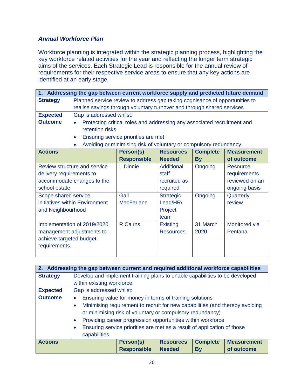### *Annual Workforce Plan*

Workforce planning is integrated within the strategic planning process, highlighting the key workforce related activities for the year and reflecting the longer term strategic aims of the services. Each Strategic Lead is responsible for the annual review of requirements for their respective service areas to ensure that any key actions are identified at an early stage.

| 1. Addressing the gap between current workforce supply and predicted future demand |                                                                             |                                                                         |                  |                 |                    |  |  |
|------------------------------------------------------------------------------------|-----------------------------------------------------------------------------|-------------------------------------------------------------------------|------------------|-----------------|--------------------|--|--|
| <b>Strategy</b>                                                                    | Planned service review to address gap taking cognisance of opportunities to |                                                                         |                  |                 |                    |  |  |
|                                                                                    |                                                                             | realise savings through voluntary turnover and through shared services  |                  |                 |                    |  |  |
| <b>Expected</b>                                                                    | Gap is addressed whilst:                                                    |                                                                         |                  |                 |                    |  |  |
| <b>Outcome</b>                                                                     | $\bullet$                                                                   | Protecting critical roles and addressing any associated recruitment and |                  |                 |                    |  |  |
|                                                                                    | retention risks                                                             |                                                                         |                  |                 |                    |  |  |
|                                                                                    | $\bullet$                                                                   | Ensuring service priorities are met                                     |                  |                 |                    |  |  |
|                                                                                    | $\bullet$                                                                   | Avoiding or minimising risk of voluntary or compulsory redundancy       |                  |                 |                    |  |  |
| <b>Actions</b>                                                                     |                                                                             | Person(s)                                                               | <b>Resources</b> | <b>Complete</b> | <b>Measurement</b> |  |  |
|                                                                                    |                                                                             | <b>Responsible</b>                                                      | <b>Needed</b>    | <b>By</b>       | of outcome         |  |  |
|                                                                                    | Review structure and service                                                | L Dinnie                                                                | Additional       | Ongoing         | Resource           |  |  |
| delivery requirements to                                                           |                                                                             |                                                                         | staff            |                 | requirements       |  |  |
|                                                                                    | accommodate changes to the                                                  |                                                                         | recruited as     |                 | reviewed on an     |  |  |
| school estate                                                                      |                                                                             |                                                                         | required         |                 | ongoing basis      |  |  |
| Scope shared service                                                               |                                                                             | Gail                                                                    | <b>Strategic</b> | Ongoing         | Quarterly          |  |  |
|                                                                                    | initiatives within Environment                                              | <b>MacFarlane</b>                                                       | Lead/HR/         |                 | review             |  |  |
| and Neighbourhood                                                                  |                                                                             |                                                                         | Project          |                 |                    |  |  |
| team                                                                               |                                                                             |                                                                         |                  |                 |                    |  |  |
| Implementation of 2019/2020                                                        |                                                                             | <b>R</b> Cairns                                                         | <b>Existing</b>  | 31 March        | Monitored via      |  |  |
| management adjustments to                                                          |                                                                             |                                                                         | <b>Resources</b> | 2020            | Pentana            |  |  |
| achieve targeted budget                                                            |                                                                             |                                                                         |                  |                 |                    |  |  |
| requirements.                                                                      |                                                                             |                                                                         |                  |                 |                    |  |  |
|                                                                                    |                                                                             |                                                                         |                  |                 |                    |  |  |

| 2. Addressing the gap between current and required additional workforce capabilities |                                                                                                                                                                                                                                                                                                                                            |                    |                  |                 |                    |
|--------------------------------------------------------------------------------------|--------------------------------------------------------------------------------------------------------------------------------------------------------------------------------------------------------------------------------------------------------------------------------------------------------------------------------------------|--------------------|------------------|-----------------|--------------------|
| <b>Strategy</b>                                                                      | Develop and implement training plans to enable capabilities to be developed                                                                                                                                                                                                                                                                |                    |                  |                 |                    |
|                                                                                      | within existing workforce                                                                                                                                                                                                                                                                                                                  |                    |                  |                 |                    |
| <b>Expected</b>                                                                      | Gap is addressed whilst:                                                                                                                                                                                                                                                                                                                   |                    |                  |                 |                    |
| <b>Outcome</b>                                                                       | Ensuring value for money in terms of training solutions<br>$\bullet$                                                                                                                                                                                                                                                                       |                    |                  |                 |                    |
|                                                                                      | Minimising requirement to recruit for new capabilities (and thereby avoiding<br>$\bullet$<br>or minimising risk of voluntary or compulsory redundancy)<br>Providing career progression opportunities within workforce<br>$\bullet$<br>Ensuring service priorities are met as a result of application of those<br>$\bullet$<br>capabilities |                    |                  |                 |                    |
| <b>Actions</b>                                                                       |                                                                                                                                                                                                                                                                                                                                            | Person(s)          | <b>Resources</b> | <b>Complete</b> | <b>Measurement</b> |
|                                                                                      |                                                                                                                                                                                                                                                                                                                                            | <b>Responsible</b> | <b>Needed</b>    | <b>By</b>       | of outcome         |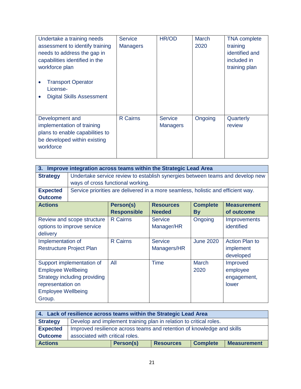| Undertake a training needs<br>assessment to identify training<br>needs to address the gap in<br>capabilities identified in the<br>workforce plan<br><b>Transport Operator</b><br>License-<br><b>Digital Skills Assessment</b> | <b>Service</b><br><b>Managers</b> | HR/OD                             | <b>March</b><br>2020 | <b>TNA</b> complete<br>training<br>identified and<br>included in<br>training plan |
|-------------------------------------------------------------------------------------------------------------------------------------------------------------------------------------------------------------------------------|-----------------------------------|-----------------------------------|----------------------|-----------------------------------------------------------------------------------|
| Development and<br>implementation of training<br>plans to enable capabilities to<br>be developed within existing<br>workforce                                                                                                 | <b>R</b> Cairns                   | <b>Service</b><br><b>Managers</b> | Ongoing              | Quarterly<br>review                                                               |

| Improve integration across teams within the Strategic Lead Area<br>3. |                                                                               |                                   |                                                                                  |                  |                       |  |  |
|-----------------------------------------------------------------------|-------------------------------------------------------------------------------|-----------------------------------|----------------------------------------------------------------------------------|------------------|-----------------------|--|--|
| <b>Strategy</b>                                                       | Undertake service review to establish synergies between teams and develop new |                                   |                                                                                  |                  |                       |  |  |
|                                                                       |                                                                               | ways of cross functional working. |                                                                                  |                  |                       |  |  |
| <b>Expected</b>                                                       |                                                                               |                                   | Service priorities are delivered in a more seamless, holistic and efficient way. |                  |                       |  |  |
| <b>Outcome</b>                                                        |                                                                               |                                   |                                                                                  |                  |                       |  |  |
| <b>Actions</b>                                                        |                                                                               | Person(s)                         | <b>Resources</b>                                                                 | <b>Complete</b>  | <b>Measurement</b>    |  |  |
|                                                                       |                                                                               | <b>Responsible</b>                | <b>Needed</b>                                                                    | <b>By</b>        | of outcome            |  |  |
|                                                                       | Review and scope structure                                                    | <b>R</b> Cairns                   | Service                                                                          | Ongoing          | Improvements          |  |  |
| options to improve service                                            |                                                                               |                                   | Manager/HR                                                                       |                  | identified            |  |  |
| delivery                                                              |                                                                               |                                   |                                                                                  |                  |                       |  |  |
| Implementation of                                                     |                                                                               | <b>R</b> Cairns                   | <b>Service</b>                                                                   | <b>June 2020</b> | <b>Action Plan to</b> |  |  |
|                                                                       | <b>Restructure Project Plan</b>                                               |                                   | Managers/HR                                                                      |                  | implement             |  |  |
|                                                                       |                                                                               |                                   |                                                                                  |                  | developed             |  |  |
|                                                                       | Support implementation of                                                     | All                               | Time                                                                             | March            | Improved              |  |  |
| <b>Employee Wellbeing</b>                                             |                                                                               |                                   |                                                                                  | 2020             | employee              |  |  |
| Strategy including providing                                          |                                                                               |                                   |                                                                                  |                  | engagement,           |  |  |
| representation on                                                     |                                                                               |                                   |                                                                                  |                  | lower                 |  |  |
| <b>Employee Wellbeing</b>                                             |                                                                               |                                   |                                                                                  |                  |                       |  |  |
| Group.                                                                |                                                                               |                                   |                                                                                  |                  |                       |  |  |

| 4. Lack of resilience across teams within the Strategic Lead Area |                                                                        |           |                  |                 |                    |
|-------------------------------------------------------------------|------------------------------------------------------------------------|-----------|------------------|-----------------|--------------------|
| <b>Strategy</b>                                                   | Develop and implement training plan in relation to critical roles.     |           |                  |                 |                    |
| <b>Expected</b>                                                   | Improved resilience across teams and retention of knowledge and skills |           |                  |                 |                    |
| <b>Outcome</b>                                                    | associated with critical roles.                                        |           |                  |                 |                    |
| <b>Actions</b>                                                    |                                                                        | Person(s) | <b>Resources</b> | <b>Complete</b> | <b>Measurement</b> |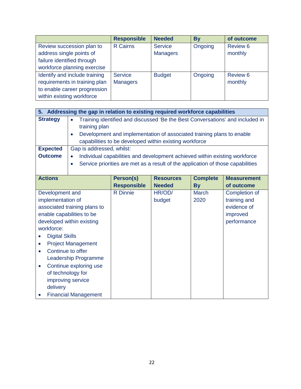|                               | <b>Responsible</b> | <b>Needed</b>   | <b>By</b> | of outcome |
|-------------------------------|--------------------|-----------------|-----------|------------|
| Review succession plan to     | <b>R</b> Cairns    | <b>Service</b>  | Ongoing   | Review 6   |
| address single points of      |                    | <b>Managers</b> |           | monthly    |
| failure identified through    |                    |                 |           |            |
| workforce planning exercise   |                    |                 |           |            |
| Identify and include training | Service            | <b>Budget</b>   | Ongoing   | Review 6   |
| requirements in training plan | <b>Managers</b>    |                 |           | monthly    |
| to enable career progression  |                    |                 |           |            |
| within existing workforce     |                    |                 |           |            |

|                       | 5. Addressing the gap in relation to existing required workforce capabilities              |                                                                                 |                  |                 |                    |  |
|-----------------------|--------------------------------------------------------------------------------------------|---------------------------------------------------------------------------------|------------------|-----------------|--------------------|--|
| <b>Strategy</b>       | Training identified and discussed 'Be the Best Conversations' and included in<br>$\bullet$ |                                                                                 |                  |                 |                    |  |
|                       | training plan                                                                              |                                                                                 |                  |                 |                    |  |
|                       | $\bullet$                                                                                  | Development and implementation of associated training plans to enable           |                  |                 |                    |  |
|                       |                                                                                            | capabilities to be developed within existing workforce                          |                  |                 |                    |  |
| <b>Expected</b>       | Gap is addressed, whilst:                                                                  |                                                                                 |                  |                 |                    |  |
| <b>Outcome</b>        | $\bullet$                                                                                  | Individual capabilities and development achieved within existing workforce      |                  |                 |                    |  |
|                       | $\bullet$                                                                                  | Service priorities are met as a result of the application of those capabilities |                  |                 |                    |  |
|                       |                                                                                            |                                                                                 |                  |                 |                    |  |
| <b>Actions</b>        |                                                                                            | Person(s)                                                                       | <b>Resources</b> | <b>Complete</b> | <b>Measurement</b> |  |
|                       |                                                                                            | <b>Responsible</b>                                                              | <b>Needed</b>    | <b>By</b>       | of outcome         |  |
| Development and       |                                                                                            | <b>R</b> Dinnie                                                                 | HR/OD/           | <b>March</b>    | Completion of      |  |
| implementation of     |                                                                                            |                                                                                 | budget           | 2020            | training and       |  |
|                       | associated training plans to                                                               |                                                                                 |                  |                 | evidence of        |  |
|                       | enable capabilities to be                                                                  |                                                                                 |                  |                 | improved           |  |
|                       | developed within existing                                                                  |                                                                                 |                  |                 | performance        |  |
| workforce:            |                                                                                            |                                                                                 |                  |                 |                    |  |
| <b>Digital Skills</b> |                                                                                            |                                                                                 |                  |                 |                    |  |
| $\bullet$             | <b>Project Management</b>                                                                  |                                                                                 |                  |                 |                    |  |
|                       | Continue to offer                                                                          |                                                                                 |                  |                 |                    |  |
|                       | Leadership Programme                                                                       |                                                                                 |                  |                 |                    |  |
| $\bullet$             | Continue exploring use                                                                     |                                                                                 |                  |                 |                    |  |
|                       | of technology for                                                                          |                                                                                 |                  |                 |                    |  |
|                       | improving service                                                                          |                                                                                 |                  |                 |                    |  |
| delivery              |                                                                                            |                                                                                 |                  |                 |                    |  |
|                       | <b>Financial Management</b>                                                                |                                                                                 |                  |                 |                    |  |